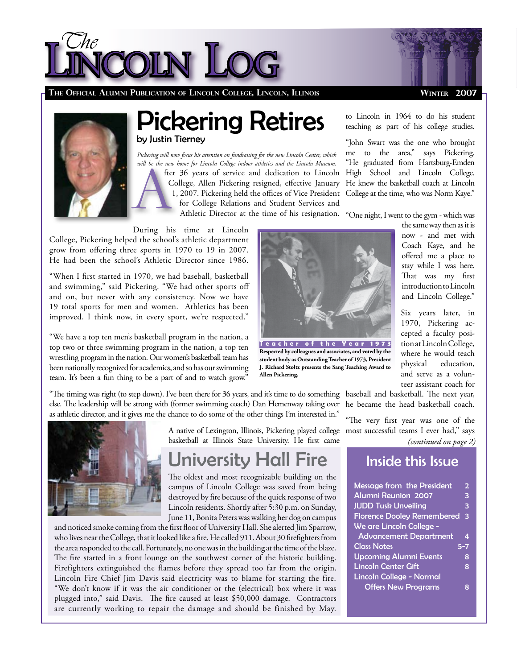



**The Official Alumni Publication of Lincoln College, Lincoln, Illinois** 

#### **Winter 2007**

## Pickering Retires by Justin Tierney

fter 36 years of service and dedication to Lincoln College, Allen Pickering resigned, effective January 1, 2007. Pickering held the offices of Vice President for College Relations and Student Services and Athletic Director at the time of his resignation. *Pickering will now focus his attention on fundraising for the new Lincoln Center, which will be the new home for Lincoln College indoor athletics and the Lincoln Museum.* 

During his time at Lincoln College, Pickering helped the school's athletic department grow from offering three sports in 1970 to 19 in 2007.

"When I first started in 1970, we had baseball, basketball and swimming," said Pickering. "We had other sports off and on, but never with any consistency. Now we have 19 total sports for men and women. Athletics has been improved. I think now, in every sport, we're respected."

He had been the school's Athletic Director since 1986.

"We have a top ten men's basketball program in the nation, a top two or three swimming program in the nation, a top ten wrestling program in the nation. Our women's basketball team has been nationally recognized for academics, and so has our swimming team. It's been a fun thing to be a part of and to watch grow."

"The timing was right (to step down). I've been there for 36 years, and it's time to do something baseball and basketball. The next year, else. The leadership will be strong with (former swimming coach) Dan Hemenway taking over as athletic director, and it gives me the chance to do some of the other things I'm interested in."



A native of Lexington, Illinois, Pickering played college basketball at Illinois State University. He first came

# University Hall Fire

The oldest and most recognizable building on the campus of Lincoln College was saved from being destroyed by fire because of the quick response of two Lincoln residents. Shortly after 5:30 p.m. on Sunday, June 11, Bonita Peters was walking her dog on campus

and noticed smoke coming from the first floor of University Hall. She alerted Jim Sparrow, who lives near the College, that it looked like a fire. He called 911. About 30 firefighters from the area responded to the call. Fortunately, no one was in the building at the time of the blaze. The fire started in a front lounge on the southwest corner of the historic building. Firefighters extinguished the flames before they spread too far from the origin. Lincoln Fire Chief Jim Davis said electricity was to blame for starting the fire. "We don't know if it was the air conditioner or the (electrical) box where it was plugged into," said Davis. The fire caused at least \$50,000 damage. Contractors are currently working to repair the damage and should be finished by May.



**T e a c h e r o f t h e Y e a r 1 9 7 3 Respected by colleagues and associates, and voted by the student body as Outstanding Teacher of 1973, President J. Richard Stoltz presents the Sang Teaching Award to Allen Pickering.**

to Lincoln in 1964 to do his student teaching as part of his college studies.

"John Swart was the one who brought me to the area," says Pickering. "He graduated from Hartsburg-Emden High School and Lincoln College. He knew the basketball coach at Lincoln College at the time, who was Norm Kaye."

"One night, I went to the gym - which was

the same way then as it is now - and met with Coach Kaye, and he offered me a place to stay while I was here. That was my first introduction to Lincoln and Lincoln College."

Six years later, in 1970, Pickering accepted a faculty position at Lincoln College, where he would teach physical education, and serve as a volunteer assistant coach for

he became the head basketball coach.

"The very first year was one of the most successful teams I ever had," says

*(continued on page 2)*

### Inside this Issue

| Message from the President        | $\overline{2}$ |
|-----------------------------------|----------------|
| <b>Alumni Reunion 2007</b>        | 3              |
| <b>JUDD Tusk Unveiling</b>        | 3              |
| <b>Florence Dooley Remembered</b> | 3              |
| We are Lincoln College -          |                |
| <b>Advancement Department</b>     | 4              |
| <b>Class Notes</b>                | $5 - 7$        |
| <b>Upcoming Alumni Events</b>     | 8              |
| <b>Lincoln Center Gift</b>        | 8              |
| Lincoln College - Normal          |                |
| <b>Offers New Programs</b>        | ឧ              |
|                                   |                |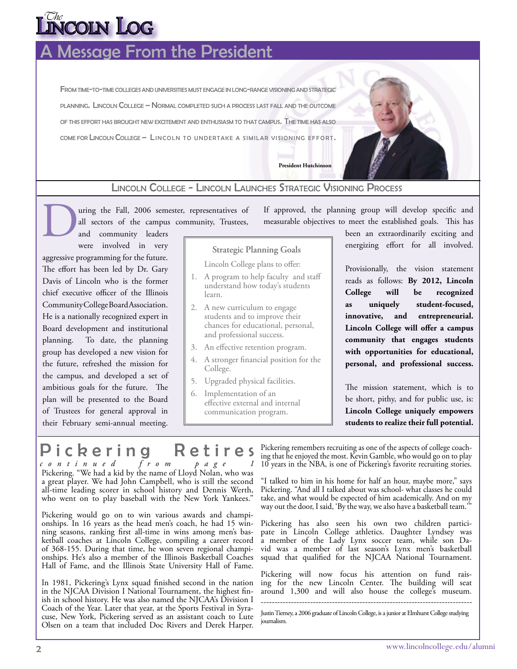# toin Log

## **Aessage From the President**

FROM TIME-TO-TIME COLLEGES AND UNIVERSITIES MUST ENGAGE IN LONG-RANGE VISIONING AND STRATEGIC planning. Lincoln College – Normal completed such <sup>a</sup> process last fall and the outcome of this effort has brought new excitement and enthusiasm to that campus. The time has also come for Lincoln College – Lincoln to undertake a similar visioning effort.



**President Hutchinson**

### Lincoln College - Lincoln Launches Strategic Visioning Process

uring the Fall, 2006 semester, representatives of all sectors of the campus community, Trustees, D

and community leaders were involved in very

aggressive programming for the future. The effort has been led by Dr. Gary Davis of Lincoln who is the former chief executive officer of the Illinois Community College Board Association. He is a nationally recognized expert in Board development and institutional planning. To date, the planning group has developed a new vision for the future, refreshed the mission for the campus, and developed a set of ambitious goals for the future. The plan will be presented to the Board of Trustees for general approval in their February semi-annual meeting.

If approved, the planning group will develop specific and measurable objectives to meet the established goals. This has

**Strategic Planning Goals**

Lincoln College plans to offer:

- 1. A program to help faculty and staff understand how today's students learn.
- A new curriculum to engage 2. students and to improve their chances for educational, personal, and professional success.
- An effective retention program. 3.
- A stronger financial position for the 4. College.
- Upgraded physical facilities. 5.
- Implementation of an 6. effective external and internal communication program.

been an extraordinarily exciting and energizing effort for all involved.

Provisionally, the vision statement reads as follows: **By 2012, Lincoln College will be recognized as uniquely student-focused, innovative, and entrepreneurial. Lincoln College will offer a campus community that engages students with opportunities for educational, personal, and professional success.**

The mission statement, which is to be short, pithy, and for public use, is: **Lincoln College uniquely empowers students to realize their full potential.**

Pickering Retires

*c o n t i n u e d f r o m p a g e 1* Pickering. "We had a kid by the name of Lloyd Nolan, who was a great player. We had John Campbell, who is still the second all-time leading scorer in school history and Dennis Werth, who went on to play baseball with the New York Yankees."

Pickering would go on to win various awards and championships. In 16 years as the head men's coach, he had 15 winning seasons, ranking first all-time in wins among men's basketball coaches at Lincoln College, compiling a career record of 368-155. During that time, he won seven regional championships. He's also a member of the Illinois Basketball Coaches Hall of Fame, and the Illinois State University Hall of Fame.

In 1981, Pickering's Lynx squad finished second in the nation in the NJCAA Division I National Tournament, the highest finish in school history. He was also named the NJCAA's Division I cuse, New York, Pickering served as an assistant coach to Lute Olsen on a team that included Doc Rivers and Derek Harper.

Pickering remembers recruiting as one of the aspects of college coaching that he enjoyed the most. Kevin Gamble, who would go on to play 10 years in the NBA, is one of Pickering's favorite recruiting stories.

"I talked to him in his home for half an hour, maybe more," says Pickering. "And all I talked about was school- what classes he could take, and what would be expected of him academically. And on my way out the door, I said, 'By the way, we also have a basketball team.'"

Pickering has also seen his own two children participate in Lincoln College athletics. Daughter Lyndsey was a member of the Lady Lynx soccer team, while son David was a member of last season's Lynx men's basketball squad that qualified for the NJCAA National Tournament.

Pickering will now focus his attention on fund raising for the new Lincoln Center. The building will seat around 1,300 and will also house the college's museum.

----------------------------------------------------------------------------- Justin Tierney, a 2006 graduate of Lincoln College, is a junior at Elmhurst College studying journalism.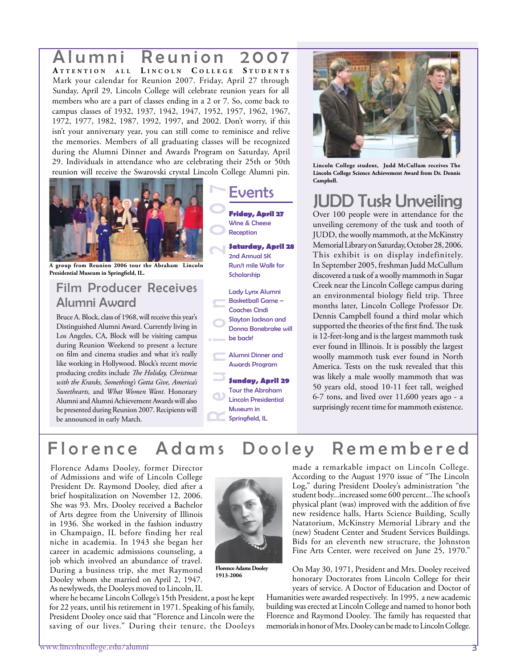### Alumni Reunion 2007 **A t t e n t i o n <sup>a</sup> l l L i n c o l n C o l l e g e S t u d e n t <sup>s</sup>** Mark your calendar for Reunion 2007. Friday, April 27 through Sunday, April 29, Lincoln College will celebrate reunion years for all members who are a part of classes ending in a 2 or 7. So, come back to campus classes of 1932, 1937, 1942, 1947, 1952, 1957, 1962, 1967, 1972, 1977, 1982, 1987, 1992, 1997, and 2002. Don't worry, if this isn't your anniversary year, you can still come to reminisce and relive the memories. Members of all graduating classes will be recognized during the Alumni Dinner and Awards Program on Saturday, April 29. Individuals in attendance who are celebrating their 25th or 50th reunion will receive the Swarovski crystal Lincoln College Alumni pin.



**A group from Reunion 2006 tour the Abraham Lincoln Presidential Museum in Springfield, IL.**

### Film Producer Receives Alumni Award

Bruce A. Block, class of 1968, will receive this year's Distinguished Alumni Award. Currently living in Los Angeles, CA, Block will be visiting campus during Reunion Weekend to present a lecture on film and cinema studies and what it's really like working in Hollywood. Block's recent movie producing credits include *The Holiday, Christmas with the Kranks, Something's Gotta Give, America's Sweethearts,* and *What Women Want.* Honorary Alumni and Alumni Achievement Awards will also be presented during Reunion 2007. Recipients will be announced in early March.

## Events

**Friday, April 27** Wine & Cheese Reception

**Saturday, April 28** 2nd Annual 5K Run/1 mile Walk for Scholarship

Lady Lynx Alumni Basketball Game – Coaches Cindi Slayton Jackson and Donna Bonebrake will

be back!

Alumni Dinner and Awards Program

**Sunday, April 29**  Tour the Abraham Lincoln Presidential Museum in Springfield, IL



**Lincoln College student, Judd McCullum receives The Lincoln College Science Achievement Award from Dr. Dennis Campbell.**

# JUDD Tusk Unveiling

Over 100 people were in attendance for the unveiling ceremony of the tusk and tooth of JUDD, the woolly mammoth, at the McKinstry Memorial Library on Saturday, October 28, 2006. This exhibit is on display indefinitely. In September 2005, freshman Judd McCullum discovered a tusk of a woolly mammoth in Sugar Creek near the Lincoln College campus during an environmental biology field trip. Three months later, Lincoln College Professor Dr. Dennis Campbell found a third molar which supported the theories of the first find. The tusk is 12-feet-long and is the largest mammoth tusk ever found in Illinois. It is possibly the largest woolly mammoth tusk ever found in North America. Tests on the tusk revealed that this was likely a male woolly mammoth that was 50 years old, stood 10-11 feet tall, weighed 6-7 tons, and lived over 11,600 years ago - a surprisingly recent time for mammoth existence.

## Florence Adams Dooley Remembered

Florence Adams Dooley, former Director of Admissions and wife of Lincoln College President Dr. Raymond Dooley, died after a brief hospitalization on November 12, 2006. She was 93. Mrs. Dooley received a Bachelor of Arts degree from the University of Illinois in 1936. She worked in the fashion industry in Champaign, IL before finding her real niche in academia. In 1943 she began her career in academic admissions counseling, a job which involved an abundance of travel. During a business trip, she met Raymond Dooley whom she married on April 2, 1947. As newlyweds, the Dooleys moved to Lincoln, IL

where he became Lincoln College's 15th President, a post he kept for 22 years, until his retirement in 1971. Speaking of his family, President Dooley once said that "Florence and Lincoln were the saving of our lives." During their tenure, the Dooleys

**Florence Adams Dooley 1913-2006**

made a remarkable impact on Lincoln College. According to the August 1970 issue of "The Lincoln Log," during President Dooley's administration "the student body...increased some 600 percent...The school's physical plant (was) improved with the addition of five new residence halls, Harts Science Building, Scully Natatorium, McKinstry Memorial Library and the (new) Student Center and Student Services Buildings. Bids for an eleventh new structure, the Johnston Fine Arts Center, were received on June 25, 1970."

On May 30, 1971, President and Mrs. Dooley received honorary Doctorates from Lincoln College for their years of service. A Doctor of Education and Doctor of

Humanities were awarded respectively. In 1995, a new academic building was erected at Lincoln College and named to honor both Florence and Raymond Dooley. The family has requested that memorials in honor of Mrs. Dooley can be made to Lincoln College.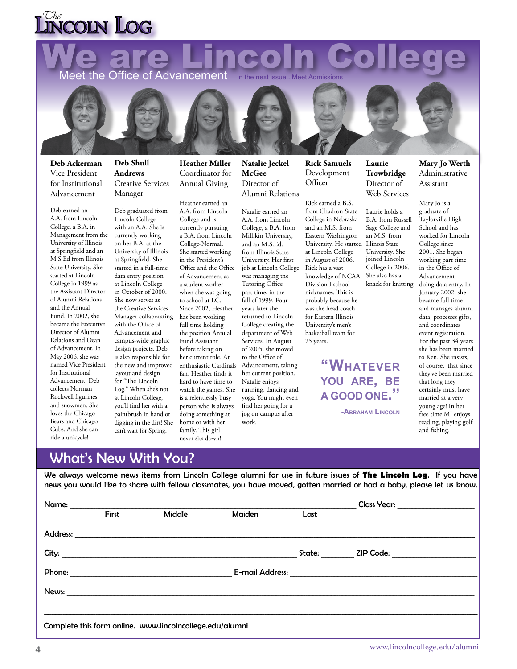# $\frac{C_{he}}{C}$ nicoln Log

We are Lincoln College

**Deb Ackerman** Vice President for Institutional Advancement

Deb earned an A.A. from Lincoln College, a B.A. in Management from the University of Illinois at Springfield and an M.S.Ed from Illinois State University. She started at Lincoln College in 1999 as the Assistant Director of Alumni Relations and the Annual Fund. In 2002, she became the Executive Director of Alumni Relations and Dean of Advancement. In May 2006, she was named Vice President for Institutional Advancement. Deb collects Norman Rockwell figurines and snowmen. She loves the Chicago Bears and Chicago Cubs. And she can ride a unicycle!

**Deb Shull Andrews** Creative Services Manager

Deb graduated from Lincoln College with an A.A. She is currently working on her B.A. at the University of Illinois at Springfield. She started in a full-time data entry position at Lincoln College in October of 2000. She now serves as the Creative Services Manager collaborating with the Office of Advancement and campus-wide graphic design projects. Deb is also responsible for the new and improved layout and design for "The Lincoln Log." When she's not at Lincoln College, you'll find her with a paintbrush in hand or digging in the dirt! She can't wait for Spring.

**Heather Miller** Coordinator for Annual Giving

Heather earned an A.A. from Lincoln College and is currently pursuing a B.A. from Lincoln College-Normal. She started working in the President's Office and the Office of Advancement as a student worker when she was going to school at LC. Since 2002, Heather has been working full time holding the position Annual Fund Assistant before taking on her current role. An enthusiastic Cardinals fan, Heather finds it hard to have time to watch the games. She is a relentlessly busy person who is always doing something at home or with her family. This girl never sits down!

**Natalie Jeckel McGee** Director of Alumni Relations

Natalie earned an A.A. from Lincoln College, a B.A. from Millikin University, and an M.S.Ed. from Illinois State University. Her first job at Lincoln College was managing the Tutoring Office part time, in the fall of 1999. Four years later she returned to Lincoln College creating the department of Web Services. In August of 2005, she moved to the Office of Advancement, taking her current position. Natalie enjoys running, dancing and yoga. You might even find her going for a jog on campus after work.

**Rick Samuels** Development **Officer** 

**Laurie Trowbridge** Director of Web Services

Sage College and

University. She

College in 2006.

Rick earned a B.S. from Chadron State College in Nebraska and an M.S. from Eastern Washington University. He started Illinois State at Lincoln College in August of 2006. Rick has a vast knowledge of NCAA Division I school nicknames. This is probably because he was the head coach for Eastern Illinois University's men's basketball team for 25 years. Laurie holds a B.A. from Russell an M.S. from joined Lincoln She also has a knack for knitting.

> **"Whatever you are, be a good one."**

> > **-Abraham Lincoln**

**Mary Jo Werth** Administrative Assistant

Mary Jo is a graduate of Taylorville High School and has worked for Lincoln College since 2001. She began working part time in the Office of Advancement doing data entry. In January 2002, she became full time and manages alumni data, processes gifts, and coordinates event registration. For the past 34 years she has been married to Ken. She insists, of course, that since they've been married that long they certainly must have married at a very young age! In her free time MJ enjoys reading, playing golf and fishing.

### What's New With You?

We always welcome news items from Lincoln College alumni for use in future issues of **The Lincoln Log**. If you have news you would like to share with fellow classmates, you have moved, gotten married or had a baby, please let us know.

|                                                          |       |               |        |      | Class Year: ___________________ |  |  |  |
|----------------------------------------------------------|-------|---------------|--------|------|---------------------------------|--|--|--|
|                                                          | First | <b>Middle</b> | Maiden | Last |                                 |  |  |  |
|                                                          |       |               |        |      |                                 |  |  |  |
|                                                          |       |               |        |      |                                 |  |  |  |
|                                                          |       |               |        |      |                                 |  |  |  |
|                                                          |       |               |        |      |                                 |  |  |  |
|                                                          |       |               |        |      |                                 |  |  |  |
| Complete this form online. www.lincolncollege.edu/alumni |       |               |        |      |                                 |  |  |  |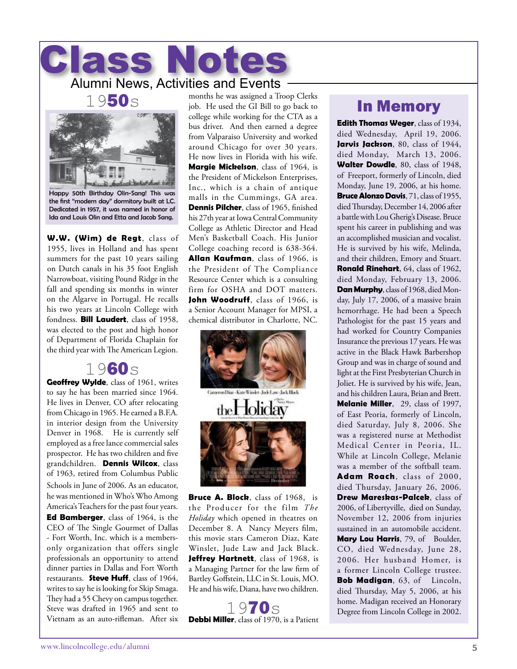professionals an opportunity to attend dinner parties in Dallas and Fort Worth restaurants. **Steve Huff**, class of 1964, writes to say he is looking for Skip Smaga. They had a 55 Chevy on campus together. Steve was drafted in 1965 and sent to months he was assigned a Troop Clerks job. He used the GI Bill to go back to college while working for the CTA as a bus driver. And then earned a degree from Valparaiso University and worked around Chicago for over 30 years. He now lives in Florida with his wife. **Margie Mickelson**, class of 1964, is the President of Mickelson Enterprises, Inc., which is a chain of antique malls in the Cummings, GA area. **Dennis Pilcher**, class of 1965, finished his 27th year at Iowa Central Community College as Athletic Director and Head Men's Basketball Coach. His Junior College coaching record is 638-364. **Allan Kaufman**, class of 1966, is the President of The Compliance Resource Center which is a consulting firm for OSHA and DOT matters. John Woodruff, class of 1966, is a Senior Account Manager for MPSI, a chemical distributor in Charlotte, NC.



**Bruce A. Block**, class of 1968, is the Producer for the film *The Holiday* which opened in theatres on December 8. A Nancy Meyers film, this movie stars Cameron Diaz, Kate Winslet, Jude Law and Jack Black. **Jeffrey Hartnett**, class of 1968, is a Managing Partner for the law firm of Bartley Goffstein, LLC in St. Louis, MO. He and his wife, Diana, have two children.

1970s **Debbi Miller**, class of 1970, is a Patient

### In Memory

**Edith Thomas Weger**, class of 1934, died Wednesday, April 19, 2006. Jarvis Jackson, 80, class of 1944, died Monday, March 13, 2006. **Walter Dowdle**, 80, class of 1948, of Freeport, formerly of Lincoln, died Monday, June 19, 2006, at his home. **Bruce Alonzo Davis**, 71, class of 1955, died Thursday, December 14, 2006 after a battle with Lou Gherig's Disease. Bruce spent his career in publishing and was an accomplished musician and vocalist. He is survived by his wife, Melinda, and their children, Emory and Stuart. **Ronald Rinehart**, 64, class of 1962, died Monday, February 13, 2006. **Dan Murphy**, class of 1968, died Monday, July 17, 2006, of a massive brain hemorrhage. He had been a Speech Pathologist for the past 15 years and had worked for Country Companies Insurance the previous 17 years. He was active in the Black Hawk Barbershop Group and was in charge of sound and light at the First Presbyterian Church in Joliet. He is survived by his wife, Jean, and his children Laura, Brian and Brett. **Melanie Miller**, 29, class of 1997, of East Peoria, formerly of Lincoln, died Saturday, July 8, 2006. She was a registered nurse at Methodist Medical Center in Peoria, IL. While at Lincoln College, Melanie was a member of the softball team. **Adam Roach**, class of 2000, died Thursday, January 26, 2006. **Drew Mareskas-Palcek**, class of 2006, of Libertyville, died on Sunday, November 12, 2006 from injuries sustained in an automobile accident. **Mary Lou Harris**, 79, of Boulder, CO, died Wednesday, June 28, 2006. Her husband Homer, is a former Lincoln College trustee. **Bob Madigan**, 63, of Lincoln, died Thursday, May 5, 2006, at his home. Madigan received an Honorary Degree from Lincoln College in 2002.



Class Notes

Happy 50th Birthday Olin-Sang! This was the first "modern day" dormitory built at LC. Dedicated in 1957, it was named in honor of Ida and Louis Olin and Etta and Jacob Sang.

**W.W. (Wim) de Regt**, class of 1955, lives in Holland and has spent summers for the past 10 years sailing on Dutch canals in his 35 foot English Narrowboat, visiting Pound Ridge in the fall and spending six months in winter on the Algarve in Portugal. He recalls his two years at Lincoln College with fondness. **Bill Laudert**, class of 1958, was elected to the post and high honor of Department of Florida Chaplain for the third year with The American Legion.

### 1960s **Geoffrey Wylde**, class of 1961, writes

to say he has been married since 1964. He lives in Denver, CO after relocating from Chicago in 1965. He earned a B.F.A. in interior design from the University Denver in 1968. He is currently self employed as a free lance commercial sales prospector. He has two children and five grandchildren. **Dennis Wilcox**, class of 1963, retired from Columbus Public Schools in June of 2006. As an educator, he was mentioned in Who's Who Among America's Teachers for the past four years. **Ed Bamberger**, class of 1964, is the CEO of The Single Gourmet of Dallas - Fort Worth, Inc. which is a membersonly organization that offers single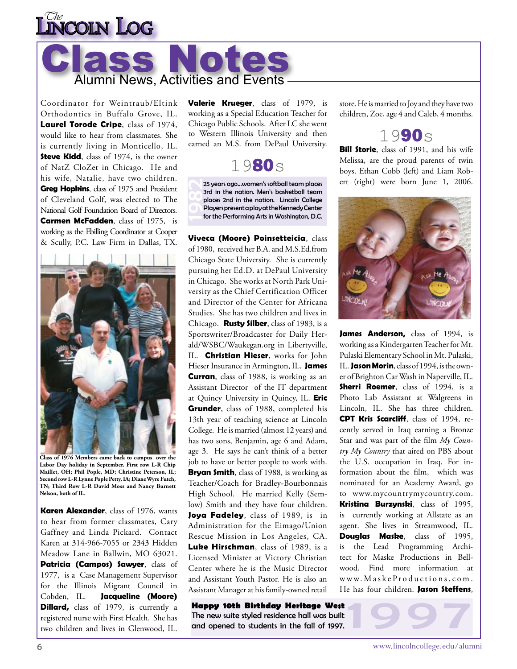



Coordinator for Weintraub/Eltink Orthodontics in Buffalo Grove, IL. **Laurel Torode Cripe**, class of 1974, would like to hear from classmates. She is currently living in Monticello, IL. **Steve Kidd**, class of 1974, is the owner of NatZ CloZet in Chicago. He and his wife, Natalie, have two children. **Greg Hopkins**, class of 1975 and President of Cleveland Golf, was elected to The National Golf Foundation Board of Directors. **Carmen McFadden**, class of 1975, is working as the Ebilling Coordinator at Cooper & Scully, P.C. Law Firm in Dallas, TX.



**Class of 1976 Members came back to campus over the Labor Day holiday in September. First row L-R Chip Maillet, OH; Phil Pople, MD; Christine Peterson, IL; Second row L-R Lynne Pople Petty, IA; Diane Wyre Futch, TN; Third Row L-R David Moss and Nancy Burnett Nelson, both of IL.**

**Karen Alexander**, class of 1976, wants to hear from former classmates, Cary Gaffney and Linda Pickard. Contact Karen at 314-966-7055 or 2343 Hidden Meadow Lane in Ballwin, MO 63021. **Patricia (Campos) Sawyer**, class of 1977, is a Case Management Supervisor for the Illinois Migrant Council in Cobden, IL. **Jacqueline (Moore) Dillard,** class of 1979, is currently a registered nurse with First Health. She has two children and lives in Glenwood, IL.

**Valerie Krueger**, class of 1979, is working as a Special Education Teacher for Chicago Public Schools. After LC she went to Western Illinois University and then earned an M.S. from DePaul University.



25 years ago...women's softball team places 3rd in the nation. Men's basketball team places 2nd in the nation. Lincoln College Players present a play at the Kennedy Center for the Performing Arts in Washington, D.C.

**Viveca (Moore) Poinsetteicia**, class of 1980, received her B.A. and M.S.Ed.from Chicago State University. She is currently pursuing her Ed.D. at DePaul University in Chicago. She works at North Park University as the Chief Certification Officer and Director of the Center for Africana Studies. She has two children and lives in Chicago. **Rusty Silber**, class of 1983, is a Sportswriter/Broadcaster for Daily Herald/WSBC/Waukegan.org in Libertyville, IL. **Christian Hieser**, works for John Hieser Insurance in Armington, IL. **James Curran**, class of 1988, is working as an Assistant Director of the IT department at Quincy University in Quincy, IL. **Eric Grunder**, class of 1988, completed his 13th year of teaching science at Lincoln College. He is married (almost 12 years) and has two sons, Benjamin, age 6 and Adam, age 3. He says he can't think of a better job to have or better people to work with. **Bryan Smith**, class of 1988, is working as Teacher/Coach for Bradley-Bourbonnais High School. He married Kelly (Semlow) Smith and they have four children. **Joya Fadeley**, class of 1989, is in Administration for the Eimago/Union Rescue Mission in Los Angeles, CA. **Luke Hirschman**, class of 1989, is a Licensed Minister at Victory Christian Center where he is the Music Director and Assistant Youth Pastor. He is also an Assistant Manager at his family-owned retail

**Happy 10th Birthday Heritage West** The new suite styled residence hall was built and opened to students in the fall of 1997.

store. He is married to Joy and they have two children, Zoe, age 4 and Caleb, 4 months.



**Bill Storie**, class of 1991, and his wife Melissa, are the proud parents of twin boys. Ethan Cobb (left) and Liam Robert (right) were born June 1, 2006.



James Anderson, class of 1994, is working as a Kindergarten Teacher for Mt. Pulaski Elementary School in Mt. Pulaski, IL. **Jason Morin**, class of 1994, is the owner of Brighton Car Wash in Naperville, IL. **Sherri Roemer**, class of 1994, is a Photo Lab Assistant at Walgreens in Lincoln, IL. She has three children. **CPT Kris Scarcliff**, class of 1994, recently served in Iraq earning a Bronze Star and was part of the film *My Country My Country* that aired on PBS about the U.S. occupation in Iraq. For information about the film, which was nominated for an Academy Award, go to www.mycountrymycountry.com. **Kristina Burzynski**, class of 1995, is currently working at Allstate as an agent. She lives in Streamwood, IL. **Douglas Maske**, class of 1995, is the Lead Programming Architect for Maske Productions in Bellwood. Find more information at w w w. M a s k e P r o d u c t i o n s . c o m . He has four children. **Jason Steffens**,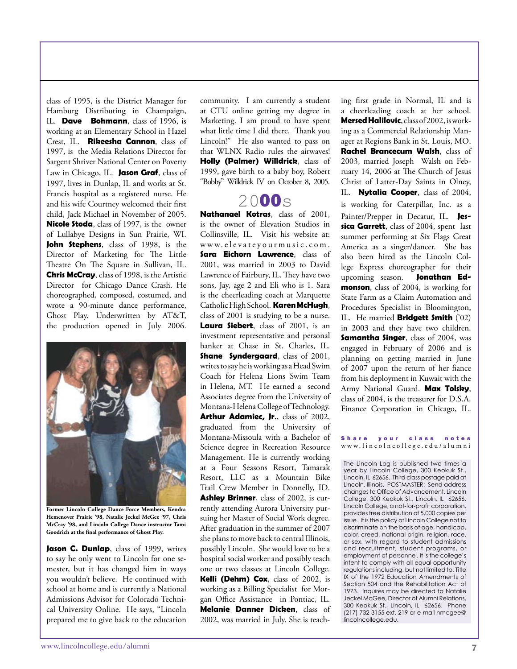Jason C. Dunlap, class of 1999, writes to say he only went to Lincoln for one semester, but it has changed him in ways you wouldn't believe. He continued with school at home and is currently a National Admissions Advisor for Colorado Techni-

class of 1995, is the District Manager for Hamburg Distributing in Champaign, IL. **Dave Bohmann**, class of 1996, is working at an Elementary School in Hazel Crest, IL. **Rikeesha Cannon**, class of 1997, is the Media Relations Director for Sargent Shriver National Center on Poverty Law in Chicago, IL. **Jason Graf**, class of 1997, lives in Dunlap, IL and works at St. Francis hospital as a registered nurse. He and his wife Courtney welcomed their first child, Jack Michael in November of 2005. **Nicole Stoda**, class of 1997, is the owner of Lullabye Designs in Sun Prairie, WI. **John Stephens**, class of 1998, is the Director of Marketing for The Little Theatre On The Square in Sullivan, IL. **Chris McCray**, class of 1998, is the Artistic Director for Chicago Dance Crash. He choreographed, composed, costumed, and wrote a 90-minute dance performance, Ghost Play. Underwritten by AT&T, the production opened in July 2006.

community. I am currently a student at CTU online getting my degree in Marketing. I am proud to have spent what little time I did there. Thank you Lincoln!" He also wanted to pass on that WLNX Radio rules the airwaves! **Holly (Palmer) Willdrick**, class of 1999, gave birth to a baby boy, Robert "Bobby" Willdrick IV on October 8, 2005.

### 2000<sub>s</sub>

**Nathanael Kotras**, class of 2001, is the owner of Elevation Studios in Collinsville, IL. Visit his website at: www.elevateyourmusic.com. **Sara Eichorn Lawrence, class of** 2001, was married in 2003 to David Lawrence of Fairbury, IL. They have two sons, Jay, age 2 and Eli who is 1. Sara is the cheerleading coach at Marquette Catholic High School. **Karen McHugh**, class of 2001 is studying to be a nurse. **Laura Siebert**, class of 2001, is an investment representative and personal banker at Chase in St. Charles, IL. **Shane Syndergaard**, class of 2001, writes to say he is working as a Head Swim Coach for Helena Lions Swim Team in Helena, MT. He earned a second Associates degree from the University of Montana-Helena College of Technology. **Arthur Adamiec, Jr.**, class of 2002, graduated from the University of Montana-Missoula with a Bachelor of Science degree in Recreation Resource Management. He is currently working at a Four Seasons Resort, Tamarak Resort, LLC as a Mountain Bike Trail Crew Member in Donnelly, ID. **Ashley Brinner**, class of 2002, is currently attending Aurora University pursuing her Master of Social Work degree. After graduation in the summer of 2007 she plans to move back to central Illinois, possibly Lincoln. She would love to be a hospital social worker and possibly teach one or two classes at Lincoln College. **Kelli (Dehm) Cox**, class of 2002, is working as a Billing Specialist for Morgan Office Assistance in Pontiac, IL. **Melanie Danner Dicken**, class of 2002, was married in July. She is teaching first grade in Normal, IL and is a cheerleading coach at her school. **Mersed Halilovic**, class of 2002, is working as a Commercial Relationship Manager at Regions Bank in St. Louis, MO. **Rachel Brancecum Walsh**, class of 2003, married Joseph Walsh on February 14, 2006 at The Church of Jesus Christ of Latter-Day Saints in Olney, IL. **Nytalia Cooper**, class of 2004, is working for Caterpillar, Inc. as a Painter/Prepper in Decatur, IL. **Jessica Garrett**, class of 2004, spent last summer performing at Six Flags Great America as a singer/dancer. She has also been hired as the Lincoln College Express choreographer for their upcoming season. **Jonathan Edmonson**, class of 2004, is working for State Farm as a Claim Automation and Procedures Specialist in Bloomington, IL. He married **Bridgett Smith** ('02) in 2003 and they have two children. **Samantha Singer**, class of 2004, was engaged in February of 2006 and is planning on getting married in June of 2007 upon the return of her fiance from his deployment in Kuwait with the Army National Guard. **Max Tolsky**, class of 2004, is the treasurer for D.S.A. Finance Corporation in Chicago, IL.

#### Share your class notes w w w . l i n c o l n c o l l e g e . e d u / a l u m n i

The Lincoln Log is published two times a year by Lincoln College, 300 Keokuk St., Lincoln, IL 62656. Third class postage paid at Lincoln, Illinois. POSTMASTER: Send address changes to Office of Advancement, Lincoln College, 300 Keokuk St., Lincoln, IL 62656. Lincoln College, a not-for-profit corporation, provides free distribution of 5,000 copies per issue. It is the policy of Lincoln College not to discriminate on the basis of age, handicap, color, creed, national origin, religion, race, or sex, with regard to student admissions and recruitment, student programs, or employment of personnel. It is the college's intent to comply with all equal opportunity regulations including, but not limited to, Title IX of the 1972 Education Amendments of Section 504 and the Rehabilitation Act of 1973. Inquires may be directed to Natalie Jeckel McGee, Director of Alumni Relations, 300 Keokuk St., Lincoln, IL 62656. Phone (217) 732-3155 ext. 219 or e-mail nmcgee@ lincolncollege.edu.

cal University Online. He says, "Lincoln prepared me to give back to the education

**Former Lincoln College Dance Force Members, Kendra Hemenover Prairie '98, Natalie Jeckel McGee '97, Chris McCray '98, and Lincoln College Dance instructor Tami Goodrich at the final performance of Ghost Play.**